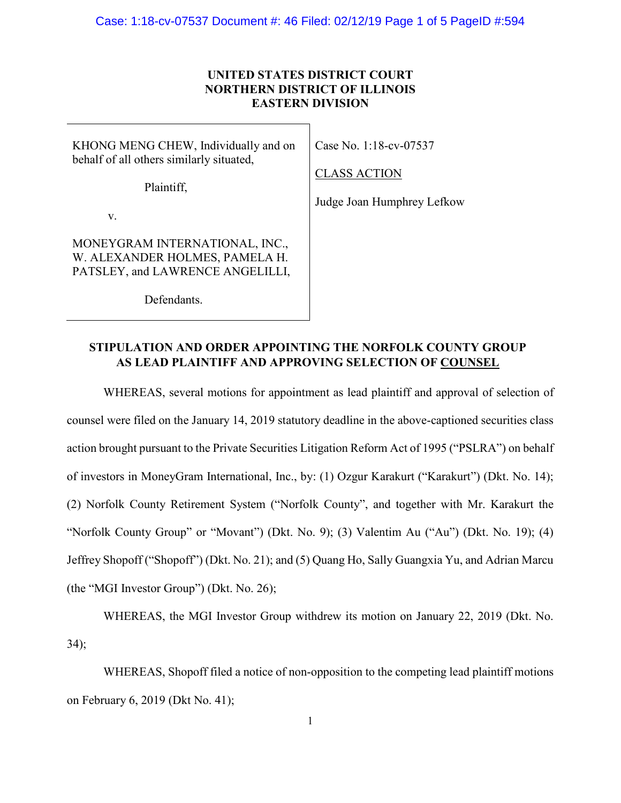## **UNITED STATES DISTRICT COURT NORTHERN DISTRICT OF ILLINOIS EASTERN DIVISION**

KHONG MENG CHEW, Individually and on behalf of all others similarly situated,

Case No. 1:18-cv-07537

### CLASS ACTION

Plaintiff,

Judge Joan Humphrey Lefkow

v.

MONEYGRAM INTERNATIONAL, INC., W. ALEXANDER HOLMES, PAMELA H. PATSLEY, and LAWRENCE ANGELILLI,

Defendants.

# **STIPULATION AND ORDER APPOINTING THE NORFOLK COUNTY GROUP AS LEAD PLAINTIFF AND APPROVING SELECTION OF COUNSEL**

WHEREAS, several motions for appointment as lead plaintiff and approval of selection of counsel were filed on the January 14, 2019 statutory deadline in the above-captioned securities class action brought pursuant to the Private Securities Litigation Reform Act of 1995 ("PSLRA") on behalf of investors in MoneyGram International, Inc., by: (1) Ozgur Karakurt ("Karakurt") (Dkt. No. 14); (2) Norfolk County Retirement System ("Norfolk County", and together with Mr. Karakurt the "Norfolk County Group" or "Movant") (Dkt. No. 9); (3) Valentim Au ("Au") (Dkt. No. 19); (4) Jeffrey Shopoff ("Shopoff") (Dkt. No. 21); and (5) Quang Ho, Sally Guangxia Yu, and Adrian Marcu (the "MGI Investor Group") (Dkt. No. 26);

WHEREAS, the MGI Investor Group withdrew its motion on January 22, 2019 (Dkt. No. 34);

WHEREAS, Shopoff filed a notice of non-opposition to the competing lead plaintiff motions on February 6, 2019 (Dkt No. 41);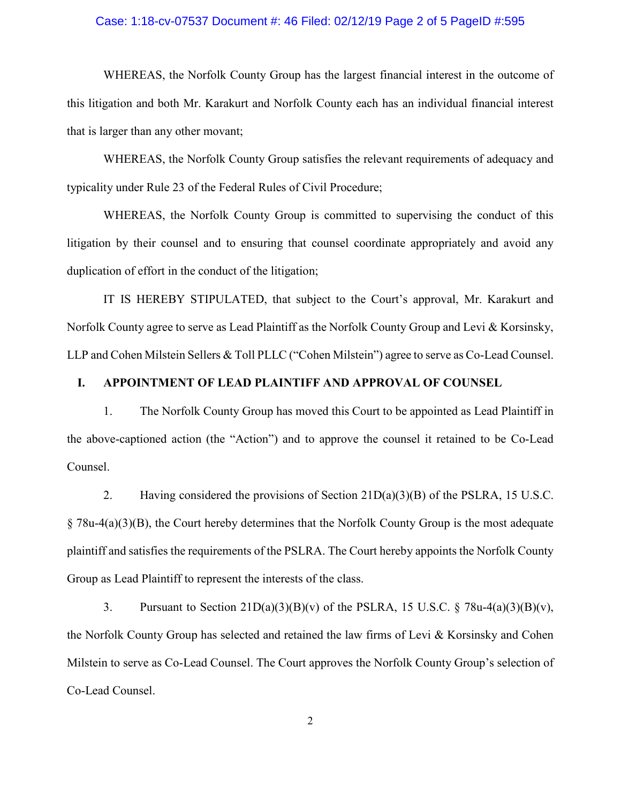#### Case: 1:18-cv-07537 Document #: 46 Filed: 02/12/19 Page 2 of 5 PageID #:595

WHEREAS, the Norfolk County Group has the largest financial interest in the outcome of this litigation and both Mr. Karakurt and Norfolk County each has an individual financial interest that is larger than any other movant;

WHEREAS, the Norfolk County Group satisfies the relevant requirements of adequacy and typicality under Rule 23 of the Federal Rules of Civil Procedure;

WHEREAS, the Norfolk County Group is committed to supervising the conduct of this litigation by their counsel and to ensuring that counsel coordinate appropriately and avoid any duplication of effort in the conduct of the litigation;

IT IS HEREBY STIPULATED, that subject to the Court's approval, Mr. Karakurt and Norfolk County agree to serve as Lead Plaintiff as the Norfolk County Group and Levi & Korsinsky, LLP and Cohen Milstein Sellers & Toll PLLC ("Cohen Milstein") agree to serve as Co-Lead Counsel.

#### **I. APPOINTMENT OF LEAD PLAINTIFF AND APPROVAL OF COUNSEL**

1. The Norfolk County Group has moved this Court to be appointed as Lead Plaintiff in the above-captioned action (the "Action") and to approve the counsel it retained to be Co-Lead Counsel.

2. Having considered the provisions of Section 21D(a)(3)(B) of the PSLRA, 15 U.S.C.  $\S$  78u-4(a)(3)(B), the Court hereby determines that the Norfolk County Group is the most adequate plaintiff and satisfies the requirements of the PSLRA. The Court hereby appoints the Norfolk County Group as Lead Plaintiff to represent the interests of the class.

3. Pursuant to Section  $21D(a)(3)(B)(v)$  of the PSLRA, 15 U.S.C. § 78u-4(a)(3)(B)(v), the Norfolk County Group has selected and retained the law firms of Levi & Korsinsky and Cohen Milstein to serve as Co-Lead Counsel. The Court approves the Norfolk County Group's selection of Co-Lead Counsel.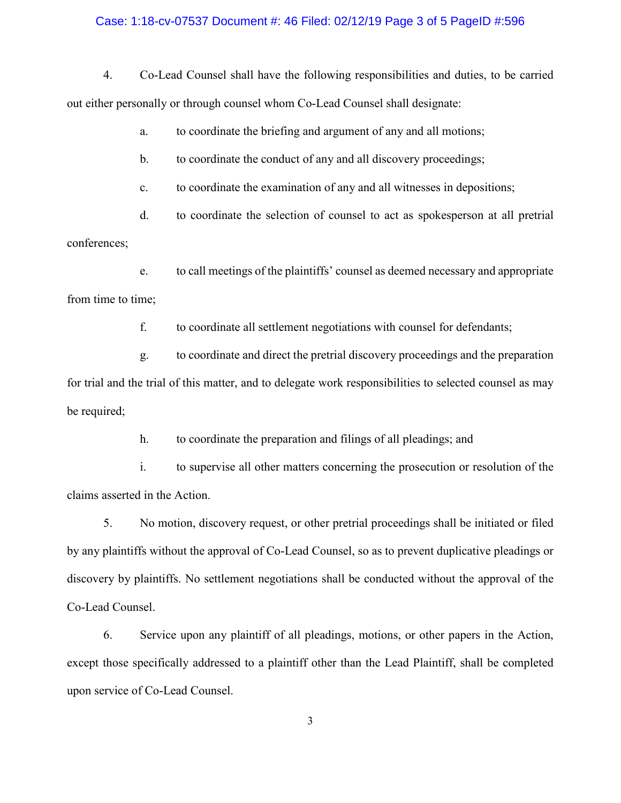#### Case: 1:18-cv-07537 Document #: 46 Filed: 02/12/19 Page 3 of 5 PageID #:596

4. Co-Lead Counsel shall have the following responsibilities and duties, to be carried out either personally or through counsel whom Co-Lead Counsel shall designate:

a. to coordinate the briefing and argument of any and all motions;

b. to coordinate the conduct of any and all discovery proceedings;

c. to coordinate the examination of any and all witnesses in depositions;

d. to coordinate the selection of counsel to act as spokesperson at all pretrial conferences;

e. to call meetings of the plaintiffs' counsel as deemed necessary and appropriate from time to time;

f. to coordinate all settlement negotiations with counsel for defendants;

g. to coordinate and direct the pretrial discovery proceedings and the preparation for trial and the trial of this matter, and to delegate work responsibilities to selected counsel as may be required;

h. to coordinate the preparation and filings of all pleadings; and

i. to supervise all other matters concerning the prosecution or resolution of the claims asserted in the Action.

5. No motion, discovery request, or other pretrial proceedings shall be initiated or filed by any plaintiffs without the approval of Co-Lead Counsel, so as to prevent duplicative pleadings or discovery by plaintiffs. No settlement negotiations shall be conducted without the approval of the Co-Lead Counsel.

6. Service upon any plaintiff of all pleadings, motions, or other papers in the Action, except those specifically addressed to a plaintiff other than the Lead Plaintiff, shall be completed upon service of Co-Lead Counsel.

3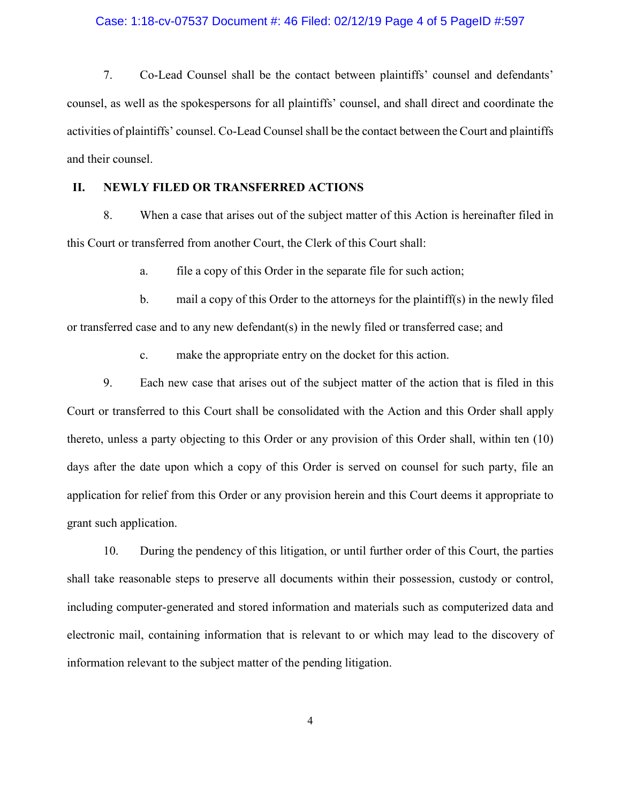#### Case: 1:18-cv-07537 Document #: 46 Filed: 02/12/19 Page 4 of 5 PageID #:597

7. Co-Lead Counsel shall be the contact between plaintiffs' counsel and defendants' counsel, as well as the spokespersons for all plaintiffs' counsel, and shall direct and coordinate the activities of plaintiffs' counsel. Co-Lead Counsel shall be the contact between the Court and plaintiffs and their counsel.

### **II. NEWLY FILED OR TRANSFERRED ACTIONS**

8. When a case that arises out of the subject matter of this Action is hereinafter filed in this Court or transferred from another Court, the Clerk of this Court shall:

a. file a copy of this Order in the separate file for such action;

b. mail a copy of this Order to the attorneys for the plaintiff(s) in the newly filed or transferred case and to any new defendant(s) in the newly filed or transferred case; and

c. make the appropriate entry on the docket for this action.

9. Each new case that arises out of the subject matter of the action that is filed in this Court or transferred to this Court shall be consolidated with the Action and this Order shall apply thereto, unless a party objecting to this Order or any provision of this Order shall, within ten (10) days after the date upon which a copy of this Order is served on counsel for such party, file an application for relief from this Order or any provision herein and this Court deems it appropriate to grant such application.

10. During the pendency of this litigation, or until further order of this Court, the parties shall take reasonable steps to preserve all documents within their possession, custody or control, including computer-generated and stored information and materials such as computerized data and electronic mail, containing information that is relevant to or which may lead to the discovery of information relevant to the subject matter of the pending litigation.